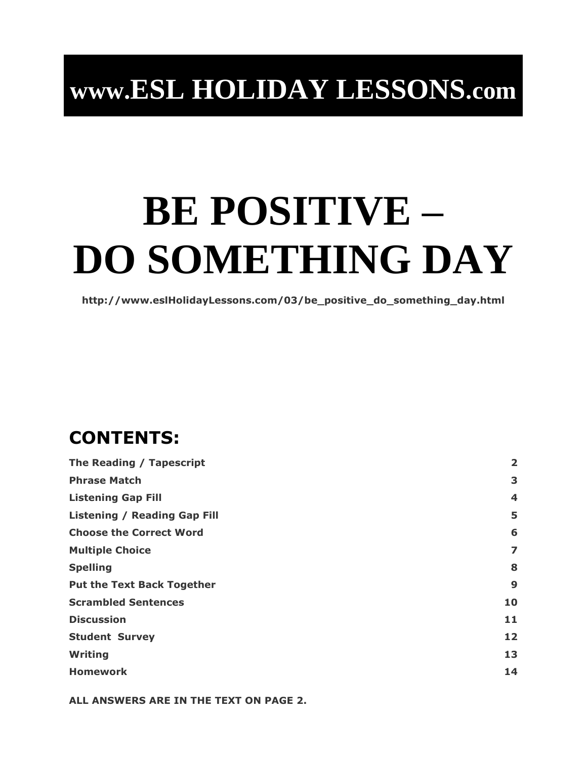## **www.ESL HOLIDAY LESSONS.com**

# **BE POSITIVE – DO SOMETHING DAY**

**http://www.eslHolidayLessons.com/03/be\_positive\_do\_something\_day.html**

## **CONTENTS:**

| The Reading / Tapescript            | $\overline{\mathbf{2}}$ |
|-------------------------------------|-------------------------|
| <b>Phrase Match</b>                 | 3                       |
| <b>Listening Gap Fill</b>           | 4                       |
| <b>Listening / Reading Gap Fill</b> | 5                       |
| <b>Choose the Correct Word</b>      | 6                       |
| <b>Multiple Choice</b>              | 7                       |
| <b>Spelling</b>                     | 8                       |
| <b>Put the Text Back Together</b>   | 9                       |
| <b>Scrambled Sentences</b>          | 10                      |
| <b>Discussion</b>                   | 11                      |
| <b>Student Survey</b>               | 12                      |
| <b>Writing</b>                      | 13                      |
| <b>Homework</b>                     | 14                      |

**ALL ANSWERS ARE IN THE TEXT ON PAGE 2.**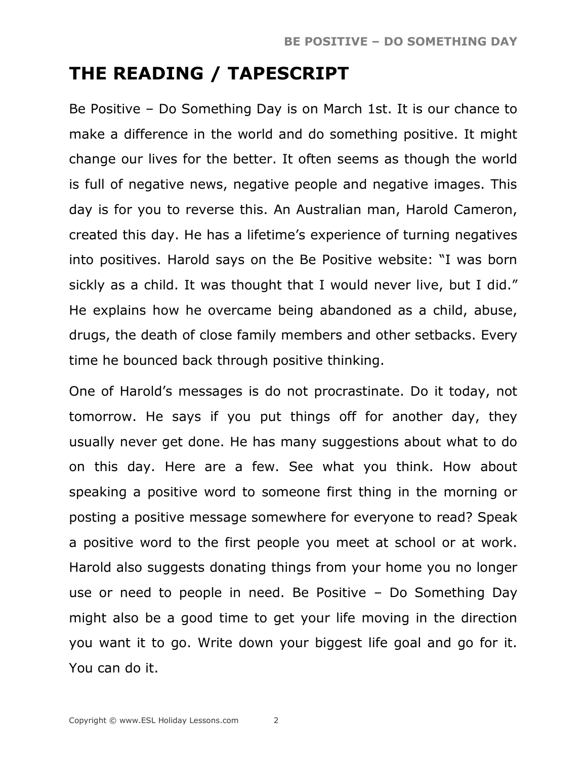## **THE READING / TAPESCRIPT**

Be Positive – Do Something Day is on March 1st. It is our chance to make a difference in the world and do something positive. It might change our lives for the better. It often seems as though the world is full of negative news, negative people and negative images. This day is for you to reverse this. An Australian man, Harold Cameron, created this day. He has a lifetime's experience of turning negatives into positives. Harold says on the Be Positive website: "I was born sickly as a child. It was thought that I would never live, but I did." He explains how he overcame being abandoned as a child, abuse, drugs, the death of close family members and other setbacks. Every time he bounced back through positive thinking.

One of Harold's messages is do not procrastinate. Do it today, not tomorrow. He says if you put things off for another day, they usually never get done. He has many suggestions about what to do on this day. Here are a few. See what you think. How about speaking a positive word to someone first thing in the morning or posting a positive message somewhere for everyone to read? Speak a positive word to the first people you meet at school or at work. Harold also suggests donating things from your home you no longer use or need to people in need. Be Positive – Do Something Day might also be a good time to get your life moving in the direction you want it to go. Write down your biggest life goal and go for it. You can do it.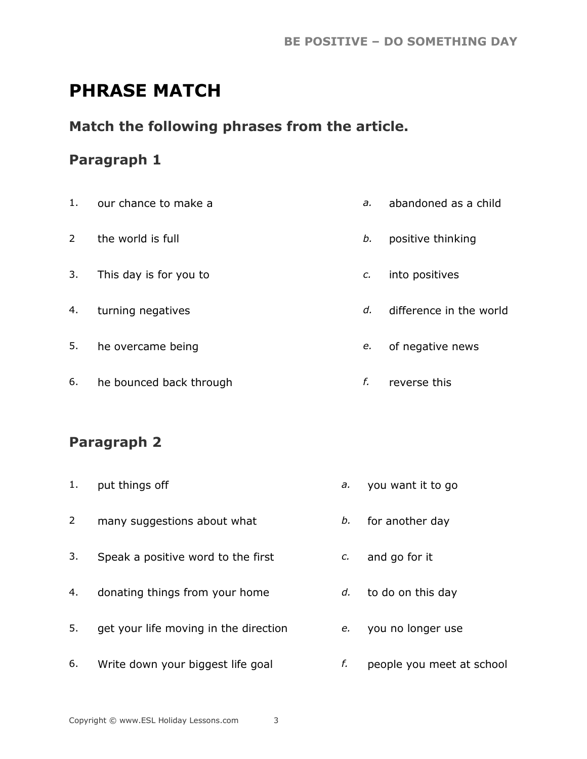## **PHRASE MATCH**

#### **Match the following phrases from the article.**

#### **Paragraph 1**

| 1.             | our chance to make a    | a. | abandoned as a child    |
|----------------|-------------------------|----|-------------------------|
| $\overline{2}$ | the world is full       | b. | positive thinking       |
| 3.             | This day is for you to  | c. | into positives          |
| 4.             | turning negatives       | d. | difference in the world |
| 5.             | he overcame being       | e. | of negative news        |
| 6.             | he bounced back through | f. | reverse this            |

#### **Paragraph 2**

- 1. put things off *a.* you want it to go
- 2 many suggestions about what *b.* for another day
- 3. Speak a positive word to the first *c.* and go for it
- 4. donating things from your home *d.* to do on this day
- 5. get your life moving in the direction *e.* you no longer use
- 6. Write down your biggest life goal *f.* people you meet at school
- 
- 
- 
- 
- 
-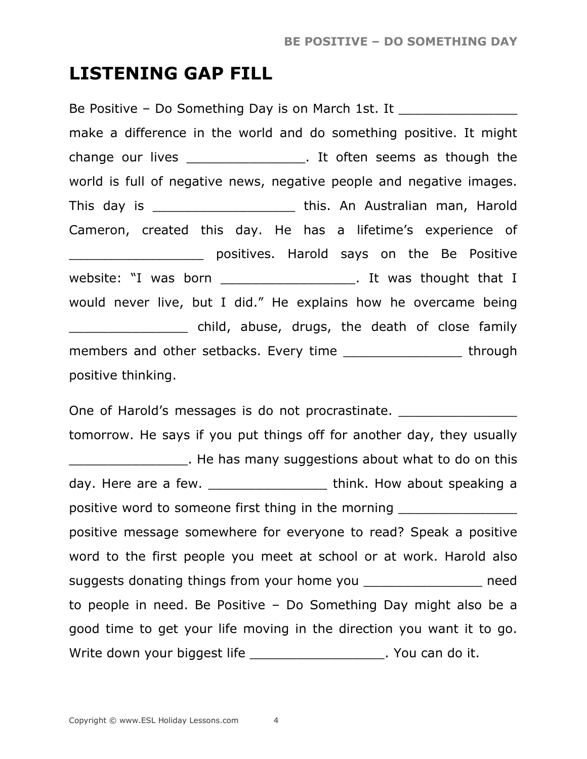#### **LISTENING GAP FILL**

Be Positive – Do Something Day is on March 1st. It make a difference in the world and do something positive. It might change our lives entitled the seems as though the world is full of negative news, negative people and negative images. This day is \_\_\_\_\_\_\_\_\_\_\_\_\_\_\_\_\_\_ this. An Australian man, Harold Cameron, created this day. He has a lifetime's experience of **EXECUTE:** POSItives. Harold says on the Be Positive website: "I was born \_\_\_\_\_\_\_\_\_\_\_\_\_\_\_\_\_\_\_\_\_. It was thought that I would never live, but I did." He explains how he overcame being \_\_\_\_\_\_\_\_\_\_\_\_\_\_\_ child, abuse, drugs, the death of close family members and other setbacks. Every time \_\_\_\_\_\_\_\_\_\_\_\_\_\_\_\_\_\_\_ through positive thinking.

One of Harold's messages is do not procrastinate. tomorrow. He says if you put things off for another day, they usually \_\_\_\_\_\_\_\_\_\_\_\_\_\_\_. He has many suggestions about what to do on this day. Here are a few. \_\_\_\_\_\_\_\_\_\_\_\_\_\_\_ think. How about speaking a positive word to someone first thing in the morning positive message somewhere for everyone to read? Speak a positive word to the first people you meet at school or at work. Harold also suggests donating things from your home you example and the need to people in need. Be Positive – Do Something Day might also be a good time to get your life moving in the direction you want it to go. Write down your biggest life entitled and only in the Vou can do it.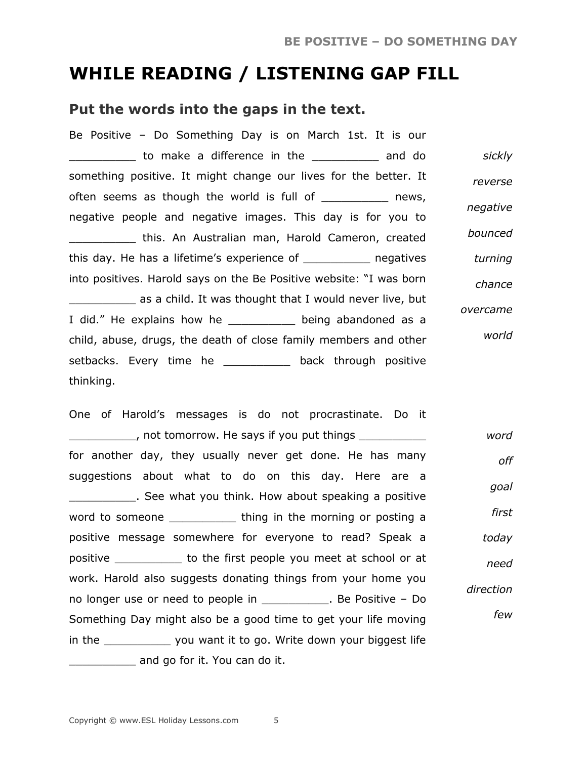### **WHILE READING / LISTENING GAP FILL**

#### **Put the words into the gaps in the text.**

| Be Positive - Do Something Day is on March 1st. It is our           |          |
|---------------------------------------------------------------------|----------|
| Lacksquare a difference in the Lacksquare and do                    | sickly   |
| something positive. It might change our lives for the better. It    | reverse  |
| often seems as though the world is full of ____________ news,       |          |
| negative people and negative images. This day is for you to         | negative |
| this. An Australian man, Harold Cameron, created                    | bounced  |
| this day. He has a lifetime's experience of ____________ negatives  | turning  |
| into positives. Harold says on the Be Positive website: "I was born | chance   |
| as a child. It was thought that I would never live, but             |          |
| I did." He explains how he ____________ being abandoned as a        | overcame |
| child, abuse, drugs, the death of close family members and other    | world    |
| setbacks. Every time he ___________ back through positive           |          |
| thinking.                                                           |          |

One of Harold's messages is do not procrastinate. Do it \_\_\_\_\_\_\_\_\_\_, not tomorrow. He says if you put things \_\_\_\_\_\_\_\_\_\_ for another day, they usually never get done. He has many suggestions about what to do on this day. Here are a **EXECO**. See what you think. How about speaking a positive word to someone \_\_\_\_\_\_\_\_\_\_\_\_\_\_ thing in the morning or posting a positive message somewhere for everyone to read? Speak a positive \_\_\_\_\_\_\_\_\_\_ to the first people you meet at school or at work. Harold also suggests donating things from your home you no longer use or need to people in \_\_\_\_\_\_\_\_\_\_. Be Positive – Do Something Day might also be a good time to get your life moving in the \_\_\_\_\_\_\_\_\_\_ you want it to go. Write down your biggest life and go for it. You can do it. *word off goal first today need direction few*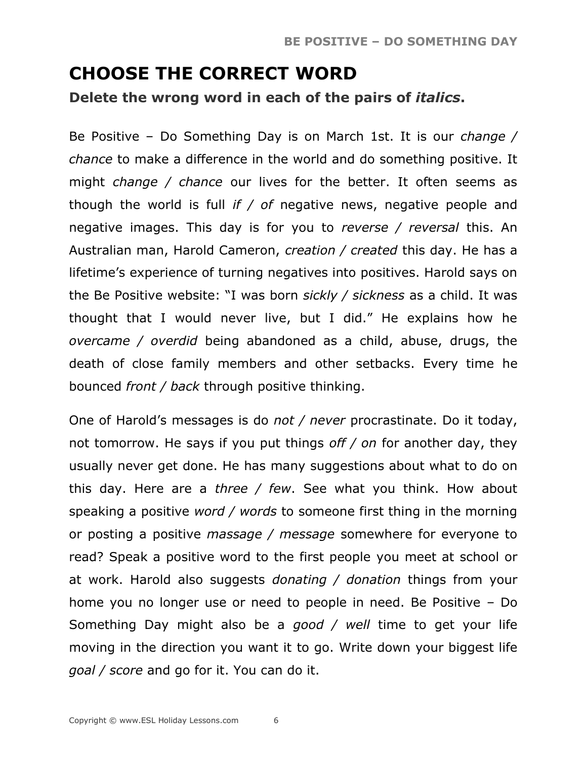## **CHOOSE THE CORRECT WORD**

**Delete the wrong word in each of the pairs of** *italics***.**

Be Positive – Do Something Day is on March 1st. It is our *change / chance* to make a difference in the world and do something positive. It might *change / chance* our lives for the better. It often seems as though the world is full *if / of* negative news, negative people and negative images. This day is for you to *reverse / reversal* this. An Australian man, Harold Cameron, *creation / created* this day. He has a lifetime's experience of turning negatives into positives. Harold says on the Be Positive website: "I was born *sickly / sickness* as a child. It was thought that I would never live, but I did." He explains how he *overcame / overdid* being abandoned as a child, abuse, drugs, the death of close family members and other setbacks. Every time he bounced *front / back* through positive thinking.

One of Harold's messages is do *not / never* procrastinate. Do it today, not tomorrow. He says if you put things *off / on* for another day, they usually never get done. He has many suggestions about what to do on this day. Here are a *three / few*. See what you think. How about speaking a positive *word / words* to someone first thing in the morning or posting a positive *massage / message* somewhere for everyone to read? Speak a positive word to the first people you meet at school or at work. Harold also suggests *donating / donation* things from your home you no longer use or need to people in need. Be Positive – Do Something Day might also be a *good / well* time to get your life moving in the direction you want it to go. Write down your biggest life *goal / score* and go for it. You can do it.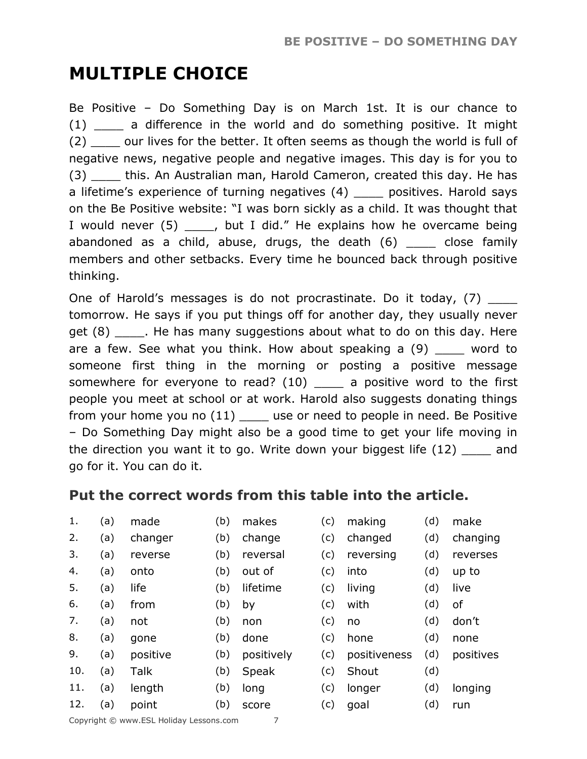## **MULTIPLE CHOICE**

Be Positive – Do Something Day is on March 1st. It is our chance to (1) \_\_\_\_ a difference in the world and do something positive. It might (2) \_\_\_\_ our lives for the better. It often seems as though the world is full of negative news, negative people and negative images. This day is for you to (3) \_\_\_\_ this. An Australian man, Harold Cameron, created this day. He has a lifetime's experience of turning negatives (4) \_\_\_\_ positives. Harold says on the Be Positive website: "I was born sickly as a child. It was thought that I would never (5) \_\_\_\_, but I did." He explains how he overcame being abandoned as a child, abuse, drugs, the death (6) close family members and other setbacks. Every time he bounced back through positive thinking.

One of Harold's messages is do not procrastinate. Do it today, (7) tomorrow. He says if you put things off for another day, they usually never get (8) Fig. He has many suggestions about what to do on this day. Here are a few. See what you think. How about speaking a  $(9)$  word to someone first thing in the morning or posting a positive message somewhere for everyone to read?  $(10)$  \_\_\_\_ a positive word to the first people you meet at school or at work. Harold also suggests donating things from your home you no  $(11)$  \_\_\_\_\_ use or need to people in need. Be Positive – Do Something Day might also be a good time to get your life moving in the direction you want it to go. Write down your biggest life (12) and go for it. You can do it.

#### **Put the correct words from this table into the article.**

- 
- 
- 
- 
- 
- 
- 
- 
- 
- 10. (a) Talk (b) Speak (c) Shout (d)
- 11. (a) length (b) long (c) longer (d) longing
- 
- 1. (a) made (b) makes (c) making (d) make
- 2. (a) changer (b) change (c) changed (d) changing
- 3. (a) reverse (b) reversal (c) reversing (d) reverses
- 4. (a) onto (b) out of (c) into (d) up to
- 5. (a) life (b) lifetime (c) living (d) live
- 6. (a) from (b) by (c) with (d) of
- 7. (a) not (b) non (c) no (d) don't
	-
- 8. (a) gone (b) done (c) hone (d) none
- 9. (a) positive (b) positively (c) positiveness (d) positives
	-
	-
- 12. (a) point (b) score (c) goal (d) run

- 
- -
-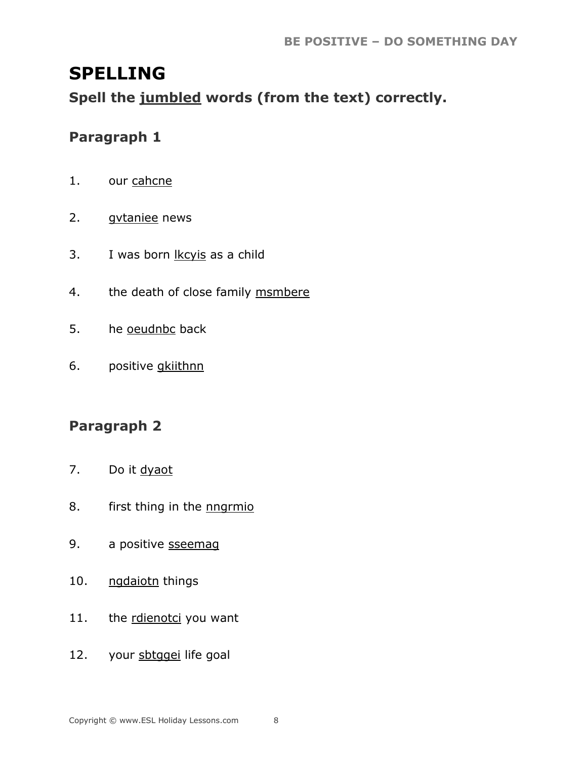## **SPELLING**

Spell the jumbled words (from the text) correctly.

#### Paragraph 1

- $1.$ our cahcne
- $2.$ gytaniee news
- I was born lkcyis as a child  $3.$
- the death of close family msmbere  $4.$
- he oeudnbc back 5.
- positive gkiithnn 6.

#### Paragraph 2

- $7.$ Do it dyaot
- first thing in the **nngrmio** 8.
- 9. a positive sseemag
- ngdaiotn things  $10.$
- $11.$ the rdienotci you want
- your sbtggei life goal 12.

8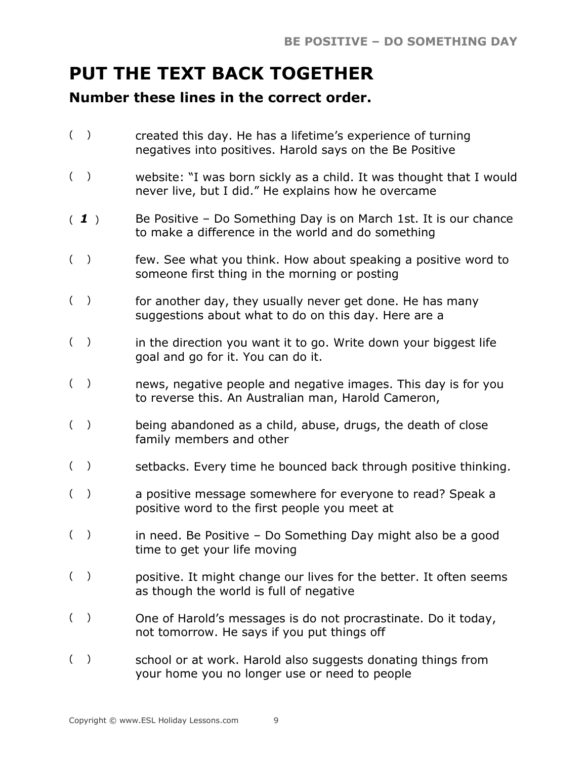## **PUT THE TEXT BACK TOGETHER**

#### **Number these lines in the correct order.**

- ( ) created this day. He has a lifetime's experience of turning negatives into positives. Harold says on the Be Positive
- ( ) website: "I was born sickly as a child. It was thought that I would never live, but I did." He explains how he overcame
- ( *1* ) Be Positive Do Something Day is on March 1st. It is our chance to make a difference in the world and do something
- ( ) few. See what you think. How about speaking a positive word to someone first thing in the morning or posting
- () for another day, they usually never get done. He has many suggestions about what to do on this day. Here are a
- $($ ) in the direction you want it to go. Write down your biggest life goal and go for it. You can do it.
- ( ) news, negative people and negative images. This day is for you to reverse this. An Australian man, Harold Cameron,
- ( ) being abandoned as a child, abuse, drugs, the death of close family members and other
- () setbacks. Every time he bounced back through positive thinking.
- ( ) a positive message somewhere for everyone to read? Speak a positive word to the first people you meet at
- ( ) in need. Be Positive Do Something Day might also be a good time to get your life moving
- ( ) positive. It might change our lives for the better. It often seems as though the world is full of negative
- ( ) One of Harold's messages is do not procrastinate. Do it today, not tomorrow. He says if you put things off
- ( ) school or at work. Harold also suggests donating things from your home you no longer use or need to people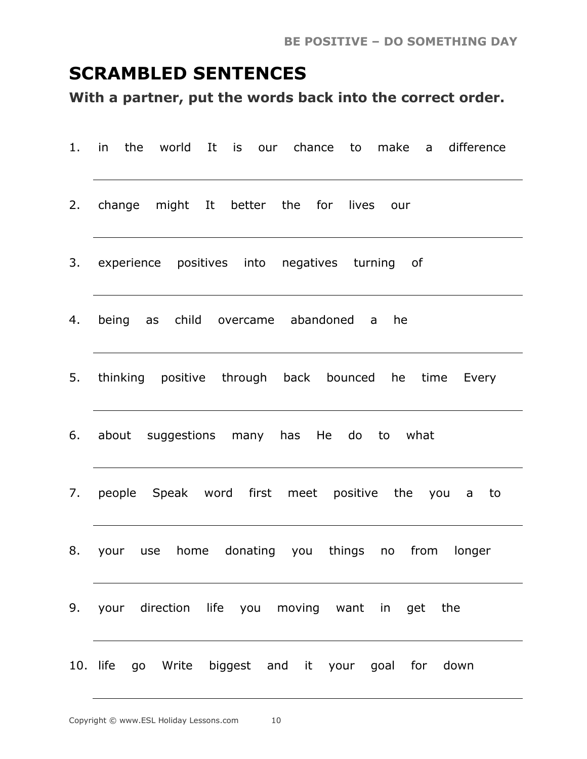## **SCRAMBLED SENTENCES**

**With a partner, put the words back into the correct order.**

| $1.$ in | the world It is our chance to make a difference         |
|---------|---------------------------------------------------------|
|         | 2. change might It better the for lives our             |
|         | 3. experience positives into negatives turning of       |
|         | 4. being as child overcame abandoned a he               |
|         | 5. thinking positive through back bounced he time Every |
|         | 6. about suggestions many has He do to what             |
|         | 7. people Speak word first meet positive the you a to   |
|         | 8. your use home donating you things no from longer     |
|         | 9. your direction life you moving want in get the       |
|         | 10. life go Write biggest and it your goal for down     |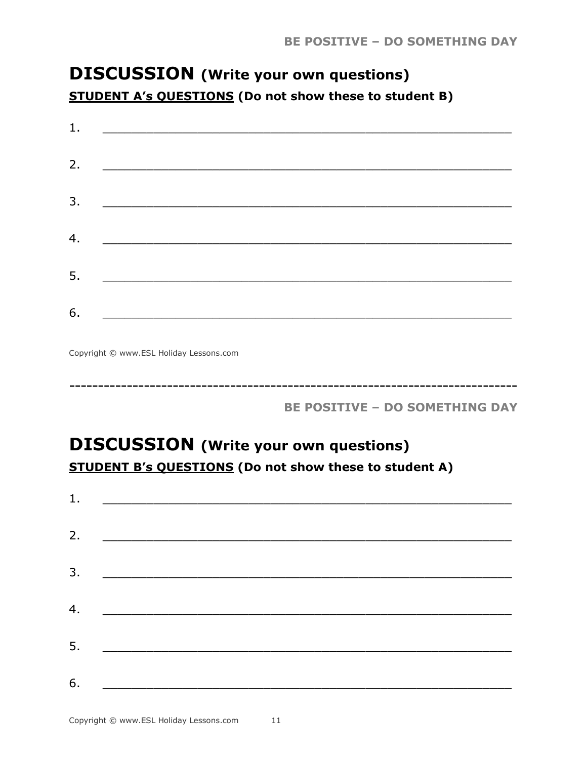## **DISCUSSION** (Write your own questions) **STUDENT A's QUESTIONS (Do not show these to student B)**

| 1. |                                                                                                                       |  |
|----|-----------------------------------------------------------------------------------------------------------------------|--|
|    |                                                                                                                       |  |
| 2. |                                                                                                                       |  |
| 3. | <u> Terminologia de la contentación de la contentación de la contentación de la contentación de la contentación d</u> |  |
|    |                                                                                                                       |  |
| 4. | <u> 1980 - Andrea Stationer, fransk politiker (</u>                                                                   |  |
| 5. | <u> 1980 - Jan Berlin, mars and de Britain and de Britain and de Britain and de Britain and de Britain and de Br</u>  |  |
|    |                                                                                                                       |  |
| 6. |                                                                                                                       |  |

Copyright © www.ESL Holiday Lessons.com

**BE POSITIVE - DO SOMETHING DAY** 

## **DISCUSSION** (Write your own questions) **STUDENT B's QUESTIONS (Do not show these to student A)**

| 1. | <u> 1989 - Andrea Andrew Maria (h. 1989).</u>                                                                         |  |
|----|-----------------------------------------------------------------------------------------------------------------------|--|
|    |                                                                                                                       |  |
| 2. | <u> 1980 - Andrea Andrew Maria (h. 1980).</u>                                                                         |  |
| 3. | <u> 2000 - Jan James James James James James James James James James James James James James James James James Ja</u> |  |
| 4. |                                                                                                                       |  |
|    |                                                                                                                       |  |
| 5. | <u> 1980 - Jan Barbara, martxa al II-lea (h. 1980).</u>                                                               |  |
| 6. |                                                                                                                       |  |
|    |                                                                                                                       |  |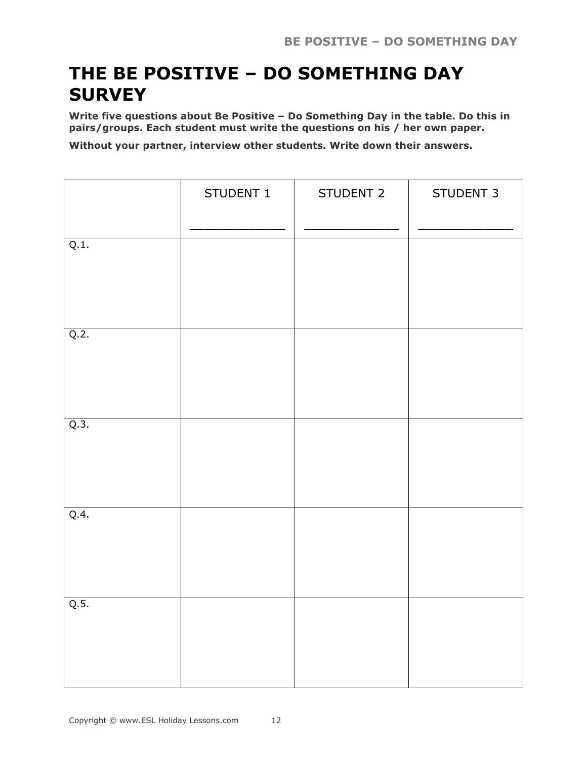## **THE BE POSITIVE – DO SOMETHING DAY SURVEY**

**Write five questions about Be Positive – Do Something Day in the table. Do this in pairs/groups. Each student must write the questions on his / her own paper.**

**Without your partner, interview other students. Write down their answers.**

|      | STUDENT 1 | STUDENT 2 | STUDENT 3 |
|------|-----------|-----------|-----------|
| Q.1. |           |           |           |
| Q.2. |           |           |           |
| Q.3. |           |           |           |
| Q.4. |           |           |           |
| Q.5. |           |           |           |
|      |           |           |           |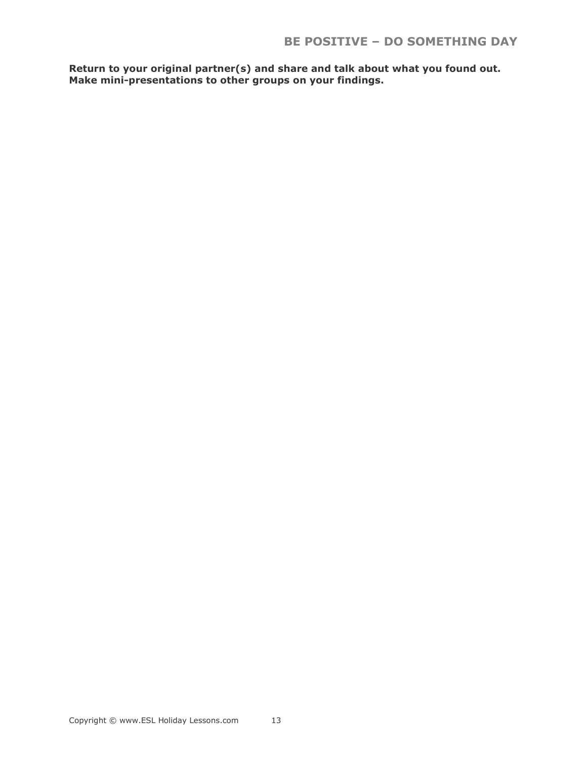**Return to your original partner(s) and share and talk about what you found out. Make mini-presentations to other groups on your findings.**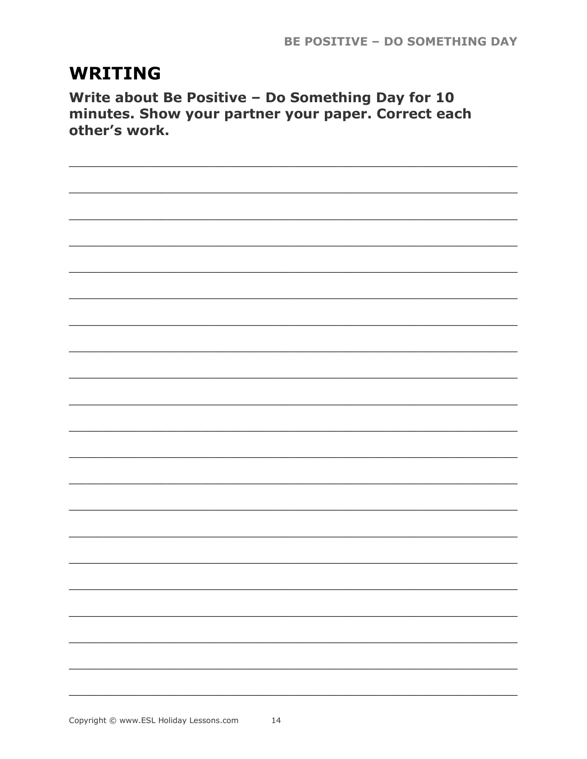## **WRITING**

Write about Be Positive - Do Something Day for 10 minutes. Show your partner your paper. Correct each other's work.